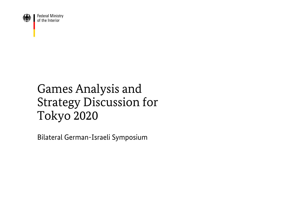

**Federal Ministry** of the Interior

# Games Analysis and Strategy Discussion for Tokyo 2020

Bilateral German-Israeli Symposium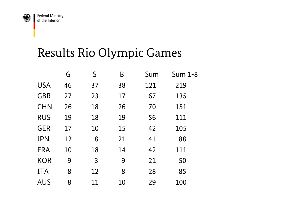

# Results Rio Olympic Games

|            | G  | S              | Β  | Sum | Sum 1-8 |
|------------|----|----------------|----|-----|---------|
| <b>USA</b> | 46 | 37             | 38 | 121 | 219     |
| GBR        | 27 | 23             | 17 | 67  | 135     |
| <b>CHN</b> | 26 | 18             | 26 | 70  | 151     |
| <b>RUS</b> | 19 | 18             | 19 | 56  | 111     |
| <b>GER</b> | 17 | 10             | 15 | 42  | 105     |
| <b>JPN</b> | 12 | 8              | 21 | 41  | 88      |
| <b>FRA</b> | 10 | 18             | 14 | 42  | 111     |
| <b>KOR</b> | 9  | $\overline{3}$ | 9  | 21  | 50      |
| <b>ITA</b> | 8  | 12             | 8  | 28  | 85      |
| <b>AUS</b> | 8  | 11             | 10 | 29  | 100     |
|            |    |                |    |     |         |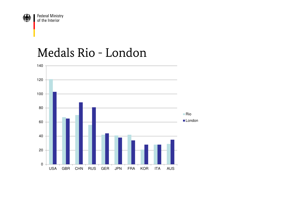

#### Medals Rio - London

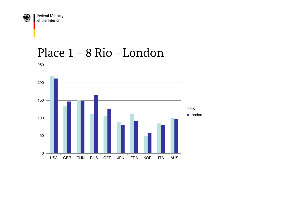

#### Place 1 – 8 Rio - London

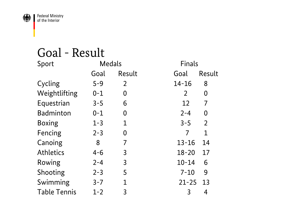

#### Goal - Result

| Sport               | <b>Medals</b> |                | Finals                    |
|---------------------|---------------|----------------|---------------------------|
|                     | Goal          | Result         | Result<br>Goal            |
| Cycling             | $5 - 9$       | $\overline{2}$ | $14 - 16$<br>8            |
| Weightlifting       | $0 - 1$       | 0              | $\overline{2}$<br>0       |
| Equestrian          | $3 - 5$       | 6              | 12<br>7                   |
| <b>Badminton</b>    | $0 - 1$       | 0              | $2 - 4$<br>0              |
| <b>Boxing</b>       | $1 - 3$       | $\mathbf 1$    | $3 - 5$<br>$\overline{2}$ |
| Fencing             | $2 - 3$       | 0              | 7<br>$\mathbf 1$          |
| Canoing             | 8             | 7              | $13 - 16$<br>14           |
| <b>Athletics</b>    | $4 - 6$       | 3              | $18 - 20$<br>17           |
| Rowing              | $2 - 4$       | $\overline{3}$ | $10 - 14$<br>6            |
| Shooting            | $2 - 3$       | 5              | $7 - 10$<br>9             |
| Swimming            | $3 - 7$       | $\mathbf 1$    | $21 - 25$<br>13           |
| <b>Table Tennis</b> | $1 - 2$       | 3              | 3<br>4                    |
|                     |               |                |                           |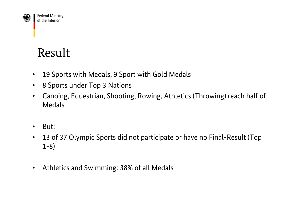

# Result

- $\bullet$ 19 Sports with Medals, 9 Sport with Gold Medals
- $\bullet$ 8 Sports under Top 3 Nations
- $\bullet$  Canoing, Equestrian, Shooting, Rowing, Athletics (Throwing) reach half of Medals
- $\bullet$ But:
- $\bullet$  13 of 37 Olympic Sports did not participate or have no Final-Result (Top 1-8)
- $\bullet$ Athletics and Swimming: 38% of all Medals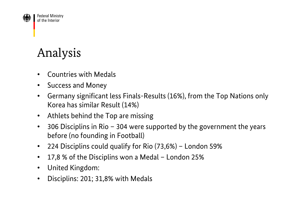

# Analysis

- •Countries with Medals
- $\bullet$ Success and Money
- $\bullet$ • Germany significant less Finals-Results (16%), from the Top Nations only<br>Keres has similar Result (1494) Korea has similar Result (14%)
- $\bullet$ Athlets behind the Top are missing
- $\bullet$  306 Disciplins in Rio – 304 were supported by the government the years before (no founding in Football)
- $\bullet$ 224 Disciplins could qualify for Rio (73,6%) – London 59%
- $\bullet$ 17,8 % of the Disciplins won a Medal – London 25%
- $\bullet$ United Kingdom:
- $\bullet$ Disciplins: 201; 31,8% with Medals